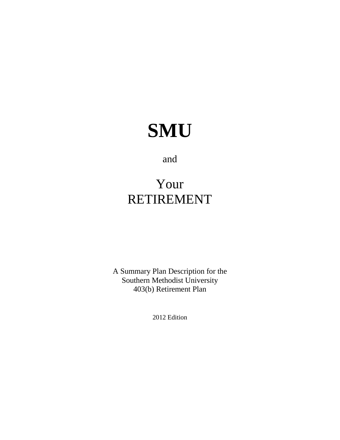# **SMU**

and

## Your RETIREMENT

A Summary Plan Description for the Southern Methodist University 403(b) Retirement Plan

2012 Edition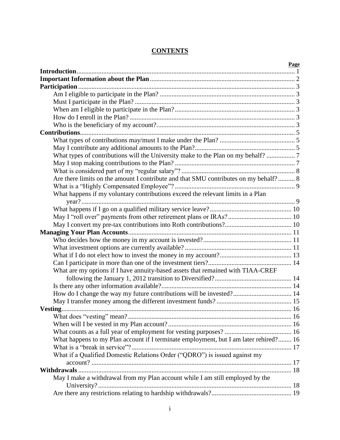#### **CONTENTS**

|                                                                                       | <b>Page</b> |
|---------------------------------------------------------------------------------------|-------------|
|                                                                                       |             |
|                                                                                       |             |
|                                                                                       |             |
|                                                                                       |             |
|                                                                                       |             |
|                                                                                       |             |
|                                                                                       |             |
|                                                                                       |             |
|                                                                                       |             |
|                                                                                       |             |
|                                                                                       |             |
| What types of contributions will the University make to the Plan on my behalf?  7     |             |
|                                                                                       |             |
|                                                                                       |             |
| Are there limits on the amount I contribute and that SMU contributes on my behalf? 8  |             |
|                                                                                       |             |
| What happens if my voluntary contributions exceed the relevant limits in a Plan       |             |
|                                                                                       |             |
|                                                                                       |             |
|                                                                                       |             |
|                                                                                       |             |
|                                                                                       |             |
|                                                                                       |             |
|                                                                                       |             |
|                                                                                       |             |
|                                                                                       |             |
| What are my options if I have annuity-based assets that remained with TIAA-CREF       |             |
|                                                                                       |             |
|                                                                                       |             |
| How do I change the way my future contributions will be invested? 14                  |             |
|                                                                                       |             |
|                                                                                       |             |
|                                                                                       |             |
|                                                                                       |             |
|                                                                                       |             |
| What happens to my Plan account if I terminate employment, but I am later rehired? 16 |             |
|                                                                                       |             |
| What if a Qualified Domestic Relations Order ("QDRO") is issued against my            |             |
|                                                                                       |             |
|                                                                                       |             |
| May I make a withdrawal from my Plan account while I am still employed by the         |             |
|                                                                                       |             |
|                                                                                       |             |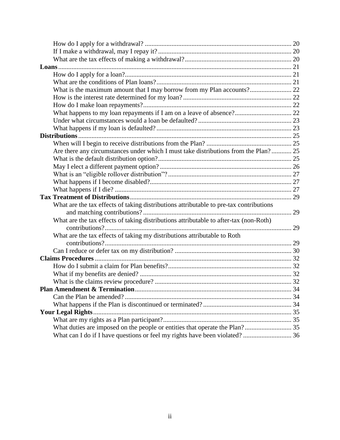| Are there any circumstances under which I must take distributions from the Plan? 25    |  |
|----------------------------------------------------------------------------------------|--|
|                                                                                        |  |
|                                                                                        |  |
|                                                                                        |  |
|                                                                                        |  |
|                                                                                        |  |
|                                                                                        |  |
| What are the tax effects of taking distributions attributable to pre-tax contributions |  |
|                                                                                        |  |
| What are the tax effects of taking distributions attributable to after-tax (non-Roth)  |  |
|                                                                                        |  |
| What are the tax effects of taking my distributions attributable to Roth               |  |
|                                                                                        |  |
|                                                                                        |  |
|                                                                                        |  |
|                                                                                        |  |
|                                                                                        |  |
|                                                                                        |  |
|                                                                                        |  |
|                                                                                        |  |
|                                                                                        |  |
|                                                                                        |  |
|                                                                                        |  |
|                                                                                        |  |
| What can I do if I have questions or feel my rights have been violated?  36            |  |
|                                                                                        |  |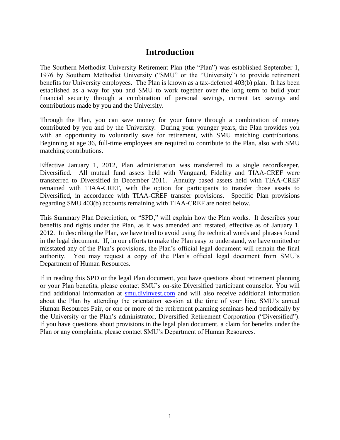### **Introduction**

<span id="page-3-0"></span>The Southern Methodist University Retirement Plan (the "Plan") was established September 1, 1976 by Southern Methodist University ("SMU" or the "University") to provide retirement benefits for University employees. The Plan is known as a tax-deferred 403(b) plan. It has been established as a way for you and SMU to work together over the long term to build your financial security through a combination of personal savings, current tax savings and contributions made by you and the University.

Through the Plan, you can save money for your future through a combination of money contributed by you and by the University. During your younger years, the Plan provides you with an opportunity to voluntarily save for retirement, with SMU matching contributions. Beginning at age 36, full-time employees are required to contribute to the Plan, also with SMU matching contributions.

Effective January 1, 2012, Plan administration was transferred to a single recordkeeper, Diversified. All mutual fund assets held with Vanguard, Fidelity and TIAA-CREF were transferred to Diversified in December 2011. Annuity based assets held with TIAA-CREF remained with TIAA-CREF, with the option for participants to transfer those assets to Diversified, in accordance with TIAA-CREF transfer provisions. Specific Plan provisions regarding SMU 403(b) accounts remaining with TIAA-CREF are noted below.

This Summary Plan Description, or "SPD," will explain how the Plan works. It describes your benefits and rights under the Plan, as it was amended and restated, effective as of January 1, 2012. In describing the Plan, we have tried to avoid using the technical words and phrases found in the legal document. If, in our efforts to make the Plan easy to understand, we have omitted or misstated any of the Plan"s provisions, the Plan"s official legal document will remain the final authority. You may request a copy of the Plan"s official legal document from SMU"s Department of Human Resources.

If in reading this SPD or the legal Plan document, you have questions about retirement planning or your Plan benefits, please contact SMU"s on-site Diversified participant counselor. You will find additional information at [smu.divinvest.com](http://smu.divinvest.com/) and will also receive additional information about the Plan by attending the orientation session at the time of your hire, SMU"s annual Human Resources Fair, or one or more of the retirement planning seminars held periodically by the University or the Plan"s administrator, Diversified Retirement Corporation ("Diversified"). If you have questions about provisions in the legal plan document, a claim for benefits under the Plan or any complaints, please contact SMU"s Department of Human Resources.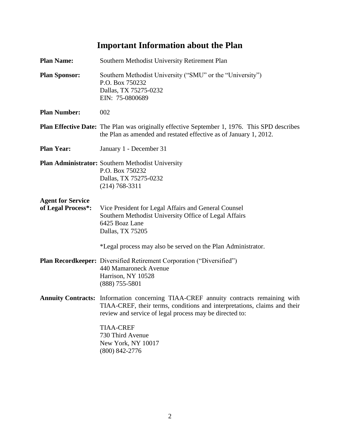## **Important Information about the Plan**

<span id="page-4-0"></span>

| <b>Plan Name:</b>                              | Southern Methodist University Retirement Plan                                                                                                                                                                               |
|------------------------------------------------|-----------------------------------------------------------------------------------------------------------------------------------------------------------------------------------------------------------------------------|
| <b>Plan Sponsor:</b>                           | Southern Methodist University ("SMU" or the "University")<br>P.O. Box 750232<br>Dallas, TX 75275-0232<br>EIN: 75-0800689                                                                                                    |
| <b>Plan Number:</b>                            | 002                                                                                                                                                                                                                         |
|                                                | <b>Plan Effective Date:</b> The Plan was originally effective September 1, 1976. This SPD describes<br>the Plan as amended and restated effective as of January 1, 2012.                                                    |
| <b>Plan Year:</b>                              | January 1 - December 31                                                                                                                                                                                                     |
|                                                | <b>Plan Administrator:</b> Southern Methodist University<br>P.O. Box 750232<br>Dallas, TX 75275-0232<br>$(214) 768 - 3311$                                                                                                  |
| <b>Agent for Service</b><br>of Legal Process*: | Vice President for Legal Affairs and General Counsel<br>Southern Methodist University Office of Legal Affairs<br>6425 Boaz Lane<br>Dallas, TX 75205                                                                         |
|                                                | *Legal process may also be served on the Plan Administrator.                                                                                                                                                                |
|                                                | Plan Recordkeeper: Diversified Retirement Corporation ("Diversified")<br>440 Mamaroneck Avenue<br>Harrison, NY 10528<br>$(888)$ 755-5801                                                                                    |
|                                                | Annuity Contracts: Information concerning TIAA-CREF annuity contracts remaining with<br>TIAA-CREF, their terms, conditions and interpretations, claims and their<br>review and service of legal process may be directed to: |
|                                                | <b>TIAA-CREF</b><br>730 Third Avenue<br>New York, NY 10017<br>$(800)$ 842-2776                                                                                                                                              |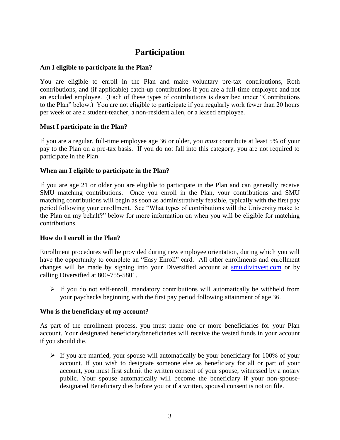## **Participation**

#### <span id="page-5-1"></span><span id="page-5-0"></span>**Am I eligible to participate in the Plan?**

You are eligible to enroll in the Plan and make voluntary pre-tax contributions, Roth contributions, and (if applicable) catch-up contributions if you are a full-time employee and not an excluded employee. (Each of these types of contributions is described under "Contributions to the Plan" below.) You are not eligible to participate if you regularly work fewer than 20 hours per week or are a student-teacher, a non-resident alien, or a leased employee.

#### <span id="page-5-2"></span>**Must I participate in the Plan?**

If you are a regular, full-time employee age 36 or older, you *must* contribute at least 5% of your pay to the Plan on a pre-tax basis. If you do not fall into this category, you are not required to participate in the Plan.

#### <span id="page-5-3"></span>**When am I eligible to participate in the Plan?**

If you are age 21 or older you are eligible to participate in the Plan and can generally receive SMU matching contributions. Once you enroll in the Plan, your contributions and SMU matching contributions will begin as soon as administratively feasible, typically with the first pay period following your enrollment. See "What types of contributions will the University make to the Plan on my behalf?" below for more information on when you will be eligible for matching contributions.

#### <span id="page-5-4"></span>**How do I enroll in the Plan?**

Enrollment procedures will be provided during new employee orientation, during which you will have the opportunity to complete an "Easy Enroll" card. All other enrollments and enrollment changes will be made by signing into your Diversified account at [smu.divinvest.com](http://smu.divinvest.com/) or by calling Diversified at 800-755-5801.

 $\triangleright$  If you do not self-enroll, mandatory contributions will automatically be withheld from your paychecks beginning with the first pay period following attainment of age 36.

#### <span id="page-5-5"></span>**Who is the beneficiary of my account?**

As part of the enrollment process, you must name one or more beneficiaries for your Plan account. Your designated beneficiary/beneficiaries will receive the vested funds in your account if you should die.

 $\triangleright$  If you are married, your spouse will automatically be your beneficiary for 100% of your account. If you wish to designate someone else as beneficiary for all or part of your account, you must first submit the written consent of your spouse, witnessed by a notary public. Your spouse automatically will become the beneficiary if your non-spousedesignated Beneficiary dies before you or if a written, spousal consent is not on file.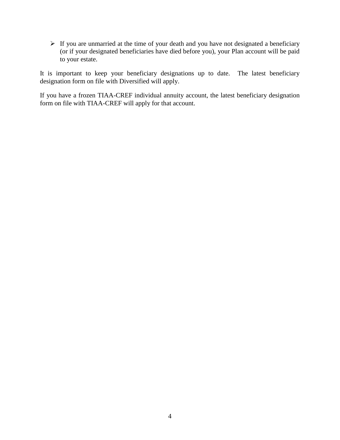$\triangleright$  If you are unmarried at the time of your death and you have not designated a beneficiary (or if your designated beneficiaries have died before you), your Plan account will be paid to your estate.

It is important to keep your beneficiary designations up to date. The latest beneficiary designation form on file with Diversified will apply.

If you have a frozen TIAA-CREF individual annuity account, the latest beneficiary designation form on file with TIAA-CREF will apply for that account.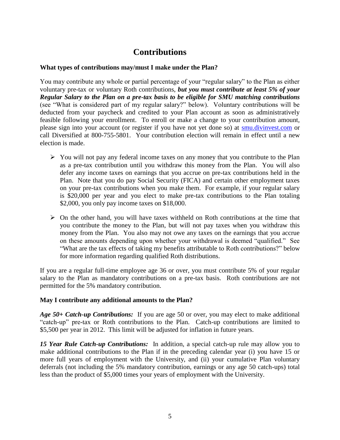## **Contributions**

#### <span id="page-7-1"></span><span id="page-7-0"></span>**What types of contributions may/must I make under the Plan?**

You may contribute any whole or partial percentage of your "regular salary" to the Plan as either voluntary pre-tax or voluntary Roth contributions, *but you must contribute at least 5% of your Regular Salary to the Plan on a pre-tax basis to be eligible for SMU matching contributions* (see "What is considered part of my regular salary?" below). Voluntary contributions will be deducted from your paycheck and credited to your Plan account as soon as administratively feasible following your enrollment. To enroll or make a change to your contribution amount, please sign into your account (or register if you have not yet done so) at [smu.divinvest.com](http://smu.divinvest.com/) or call Diversified at 800-755-5801. Your contribution election will remain in effect until a new election is made.

- $\triangleright$  You will not pay any federal income taxes on any money that you contribute to the Plan as a pre-tax contribution until you withdraw this money from the Plan. You will also defer any income taxes on earnings that you accrue on pre-tax contributions held in the Plan. Note that you do pay Social Security (FICA) and certain other employment taxes on your pre-tax contributions when you make them. For example, if your regular salary is \$20,000 per year and you elect to make pre-tax contributions to the Plan totaling \$2,000, you only pay income taxes on \$18,000.
- $\triangleright$  On the other hand, you will have taxes withheld on Roth contributions at the time that you contribute the money to the Plan, but will not pay taxes when you withdraw this money from the Plan. You also may not owe any taxes on the earnings that you accrue on these amounts depending upon whether your withdrawal is deemed "qualified." See "What are the tax effects of taking my benefits attributable to Roth contributions?" below for more information regarding qualified Roth distributions.

If you are a regular full-time employee age 36 or over, you must contribute 5% of your regular salary to the Plan as mandatory contributions on a pre-tax basis. Roth contributions are not permitted for the 5% mandatory contribution.

#### <span id="page-7-2"></span>**May I contribute any additional amounts to the Plan?**

*Age 50+ Catch-up Contributions:* If you are age 50 or over, you may elect to make additional "catch-up" pre-tax or Roth contributions to the Plan. Catch-up contributions are limited to \$5,500 per year in 2012. This limit will be adjusted for inflation in future years.

*15 Year Rule Catch-up Contributions:* In addition, a special catch-up rule may allow you to make additional contributions to the Plan if in the preceding calendar year (i) you have 15 or more full years of employment with the University, and (ii) your cumulative Plan voluntary deferrals (not including the 5% mandatory contribution, earnings or any age 50 catch-ups) total less than the product of \$5,000 times your years of employment with the University.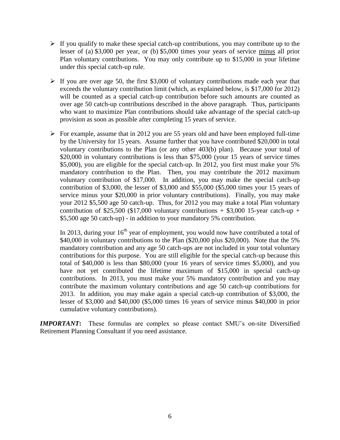- $\triangleright$  If you qualify to make these special catch-up contributions, you may contribute up to the lesser of (a) \$3,000 per year, or (b) \$5,000 times your years of service minus all prior Plan voluntary contributions. You may only contribute up to \$15,000 in your lifetime under this special catch-up rule.
- $\triangleright$  If you are over age 50, the first \$3,000 of voluntary contributions made each year that exceeds the voluntary contribution limit (which, as explained below, is \$17,000 for 2012) will be counted as a special catch-up contribution before such amounts are counted as over age 50 catch-up contributions described in the above paragraph. Thus, participants who want to maximize Plan contributions should take advantage of the special catch-up provision as soon as possible after completing 15 years of service.
- $\triangleright$  For example, assume that in 2012 you are 55 years old and have been employed full-time by the University for 15 years. Assume further that you have contributed \$20,000 in total voluntary contributions to the Plan (or any other 403(b) plan). Because your total of \$20,000 in voluntary contributions is less than \$75,000 (your 15 years of service times \$5,000), you are eligible for the special catch-up. In 2012, you first must make your 5% mandatory contribution to the Plan. Then, you may contribute the 2012 maximum voluntary contribution of \$17,000. In addition, you may make the special catch-up contribution of \$3,000, the lesser of \$3,000 and \$55,000 (\$5,000 times your 15 years of service minus your \$20,000 in prior voluntary contributions). Finally, you may make your 2012 \$5,500 age 50 catch-up. Thus, for 2012 you may make a total Plan voluntary contribution of \$25,500 (\$17,000 voluntary contributions  $+$  \$3,000 15-year catch-up  $+$ \$5,500 age 50 catch-up) - in addition to your mandatory 5% contribution.

In 2013, during your  $16<sup>th</sup>$  year of employment, you would now have contributed a total of \$40,000 in voluntary contributions to the Plan (\$20,000 plus \$20,000). Note that the 5% mandatory contribution and any age 50 catch-ups are not included in your total voluntary contributions for this purpose. You are still eligible for the special catch-up because this total of \$40,000 is less than \$80,000 (your 16 years of service times \$5,000), and you have not yet contributed the lifetime maximum of \$15,000 in special catch-up contributions. In 2013, you must make your 5% mandatory contribution and you may contribute the maximum voluntary contributions and age 50 catch-up contributions for 2013. In addition, you may make again a special catch-up contribution of \$3,000, the lesser of \$3,000 and \$40,000 (\$5,000 times 16 years of service minus \$40,000 in prior cumulative voluntary contributions).

*IMPORTANT***:** These formulas are complex so please contact SMU's on-site Diversified Retirement Planning Consultant if you need assistance.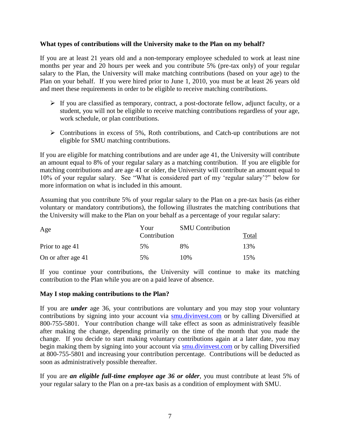#### <span id="page-9-0"></span>**What types of contributions will the University make to the Plan on my behalf?**

If you are at least 21 years old and a non-temporary employee scheduled to work at least nine months per year and 20 hours per week and you contribute 5% (pre-tax only) of your regular salary to the Plan, the University will make matching contributions (based on your age) to the Plan on your behalf. If you were hired prior to June 1, 2010, you must be at least 26 years old and meet these requirements in order to be eligible to receive matching contributions.

- $\triangleright$  If you are classified as temporary, contract, a post-doctorate fellow, adjunct faculty, or a student, you will not be eligible to receive matching contributions regardless of your age, work schedule, or plan contributions.
- $\triangleright$  Contributions in excess of 5%, Roth contributions, and Catch-up contributions are not eligible for SMU matching contributions.

If you are eligible for matching contributions and are under age 41, the University will contribute an amount equal to 8% of your regular salary as a matching contribution. If you are eligible for matching contributions and are age 41 or older, the University will contribute an amount equal to 10% of your regular salary. See "What is considered part of my "regular salary"?" below for more information on what is included in this amount.

Assuming that you contribute 5% of your regular salary to the Plan on a pre-tax basis (as either voluntary or mandatory contributions), the following illustrates the matching contributions that the University will make to the Plan on your behalf as a percentage of your regular salary:

| Age                | Your<br>Contribution | <b>SMU</b> Contribution | Total |
|--------------------|----------------------|-------------------------|-------|
| Prior to age 41    | 5%                   | 8%                      | 13%   |
| On or after age 41 | 5%                   | 10%                     | 15%   |

If you continue your contributions, the University will continue to make its matching contribution to the Plan while you are on a paid leave of absence.

#### <span id="page-9-1"></span>**May I stop making contributions to the Plan?**

If you are *under* age 36, your contributions are voluntary and you may stop your voluntary contributions by signing into your account via [smu.divinvest.com](http://smu.divinvest.com/) or by calling Diversified at 800-755-5801. Your contribution change will take effect as soon as administratively feasible after making the change, depending primarily on the time of the month that you made the change. If you decide to start making voluntary contributions again at a later date, you may begin making them by signing into your account via **smu.divinvest.com** or by calling Diversified at 800-755-5801 and increasing your contribution percentage. Contributions will be deducted as soon as administratively possible thereafter.

If you are *an eligible full-time employee age 36 or older*, you must contribute at least 5% of your regular salary to the Plan on a pre-tax basis as a condition of employment with SMU.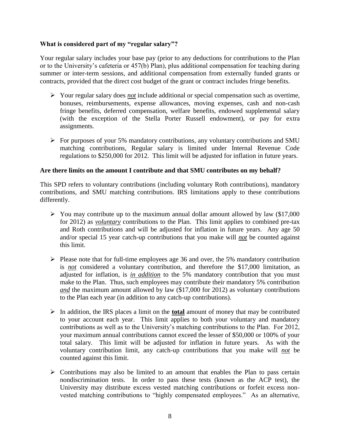#### <span id="page-10-0"></span>**What is considered part of my "regular salary"?**

Your regular salary includes your base pay (prior to any deductions for contributions to the Plan or to the University"s cafeteria or 457(b) Plan), plus additional compensation for teaching during summer or inter-term sessions, and additional compensation from externally funded grants or contracts, provided that the direct cost budget of the grant or contract includes fringe benefits.

- Your regular salary does *not* include additional or special compensation such as overtime, bonuses, reimbursements, expense allowances, moving expenses, cash and non-cash fringe benefits, deferred compensation, welfare benefits, endowed supplemental salary (with the exception of the Stella Porter Russell endowment), or pay for extra assignments.
- $\triangleright$  For purposes of your 5% mandatory contributions, any voluntary contributions and SMU matching contributions, Regular salary is limited under Internal Revenue Code regulations to \$250,000 for 2012. This limit will be adjusted for inflation in future years.

#### <span id="page-10-1"></span>**Are there limits on the amount I contribute and that SMU contributes on my behalf?**

This SPD refers to voluntary contributions (including voluntary Roth contributions), mandatory contributions, and SMU matching contributions. IRS limitations apply to these contributions differently.

- $\triangleright$  You may contribute up to the maximum annual dollar amount allowed by law (\$17,000) for 2012) as *voluntary* contributions to the Plan. This limit applies to combined pre-tax and Roth contributions and will be adjusted for inflation in future years. Any age 50 and/or special 15 year catch-up contributions that you make will *not* be counted against this limit.
- $\triangleright$  Please note that for full-time employees age 36 and over, the 5% mandatory contribution is *not* considered a voluntary contribution, and therefore the \$17,000 limitation, as adjusted for inflation, is *in addition* to the 5% mandatory contribution that you must make to the Plan. Thus, such employees may contribute their mandatory 5% contribution *and* the maximum amount allowed by law (\$17,000 for 2012) as voluntary contributions to the Plan each year (in addition to any catch-up contributions).
- In addition, the IRS places a limit on the **total** amount of money that may be contributed to your account each year. This limit applies to both your voluntary and mandatory contributions as well as to the University's matching contributions to the Plan. For 2012, your maximum annual contributions cannot exceed the lesser of \$50,000 or 100% of your total salary. This limit will be adjusted for inflation in future years. As with the voluntary contribution limit, any catch-up contributions that you make will *not* be counted against this limit.
- $\triangleright$  Contributions may also be limited to an amount that enables the Plan to pass certain nondiscrimination tests. In order to pass these tests (known as the ACP test), the University may distribute excess vested matching contributions or forfeit excess nonvested matching contributions to "highly compensated employees." As an alternative,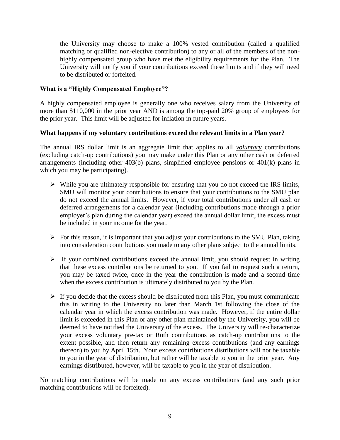the University may choose to make a 100% vested contribution (called a qualified matching or qualified non-elective contribution) to any or all of the members of the nonhighly compensated group who have met the eligibility requirements for the Plan. The University will notify you if your contributions exceed these limits and if they will need to be distributed or forfeited.

#### <span id="page-11-0"></span>**What is a "Highly Compensated Employee"?**

A highly compensated employee is generally one who receives salary from the University of more than \$110,000 in the prior year AND is among the top-paid 20% group of employees for the prior year. This limit will be adjusted for inflation in future years.

#### <span id="page-11-1"></span>**What happens if my voluntary contributions exceed the relevant limits in a Plan year?**

The annual IRS dollar limit is an aggregate limit that applies to all *voluntary* contributions (excluding catch-up contributions) you may make under this Plan or any other cash or deferred arrangements (including other 403(b) plans, simplified employee pensions or 401(k) plans in which you may be participating).

- $\triangleright$  While you are ultimately responsible for ensuring that you do not exceed the IRS limits, SMU will monitor your contributions to ensure that your contributions to the SMU plan do not exceed the annual limits. However, if your total contributions under all cash or deferred arrangements for a calendar year (including contributions made through a prior employer's plan during the calendar year) exceed the annual dollar limit, the excess must be included in your income for the year.
- $\triangleright$  For this reason, it is important that you adjust your contributions to the SMU Plan, taking into consideration contributions you made to any other plans subject to the annual limits.
- $\triangleright$  If your combined contributions exceed the annual limit, you should request in writing that these excess contributions be returned to you. If you fail to request such a return, you may be taxed twice, once in the year the contribution is made and a second time when the excess contribution is ultimately distributed to you by the Plan.
- $\triangleright$  If you decide that the excess should be distributed from this Plan, you must communicate this in writing to the University no later than March 1st following the close of the calendar year in which the excess contribution was made. However, if the entire dollar limit is exceeded in this Plan or any other plan maintained by the University, you will be deemed to have notified the University of the excess. The University will re-characterize your excess voluntary pre-tax or Roth contributions as catch-up contributions to the extent possible, and then return any remaining excess contributions (and any earnings thereon) to you by April 15th. Your excess contributions distributions will not be taxable to you in the year of distribution, but rather will be taxable to you in the prior year. Any earnings distributed, however, will be taxable to you in the year of distribution.

No matching contributions will be made on any excess contributions (and any such prior matching contributions will be forfeited).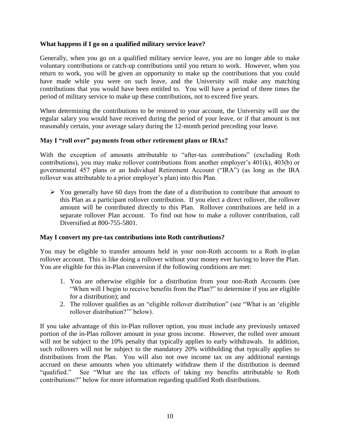#### <span id="page-12-0"></span>**What happens if I go on a qualified military service leave?**

Generally, when you go on a qualified military service leave, you are no longer able to make voluntary contributions or catch-up contributions until you return to work. However, when you return to work, you will be given an opportunity to make up the contributions that you could have made while you were on such leave, and the University will make any matching contributions that you would have been entitled to. You will have a period of three times the period of military service to make up these contributions, not to exceed five years.

When determining the contributions to be restored to your account, the University will use the regular salary you would have received during the period of your leave, or if that amount is not reasonably certain, your average salary during the 12-month period preceding your leave.

#### <span id="page-12-1"></span>**May I "roll over" payments from other retirement plans or IRAs?**

With the exception of amounts attributable to "after-tax contributions" (excluding Roth contributions), you may make rollover contributions from another employer"s 401(k), 403(b) or governmental 457 plans or an Individual Retirement Account ("IRA") (as long as the IRA rollover was attributable to a prior employer's plan) into this Plan.

 $\triangleright$  You generally have 60 days from the date of a distribution to contribute that amount to this Plan as a participant rollover contribution. If you elect a direct rollover, the rollover amount will be contributed directly to this Plan. Rollover contributions are held in a separate rollover Plan account. To find out how to make a rollover contribution, call Diversified at 800-755-5801.

#### <span id="page-12-2"></span>**May I convert my pre-tax contributions into Roth contributions?**

You may be eligible to transfer amounts held in your non-Roth accounts to a Roth in-plan rollover account. This is like doing a rollover without your money ever having to leave the Plan. You are eligible for this in-Plan conversion if the following conditions are met:

- 1. You are otherwise eligible for a distribution from your non-Roth Accounts (see "When will I begin to receive benefits from the Plan?" to determine if you are eligible for a distribution); and
- 2. The rollover qualifies as an "eligible rollover distribution" (see "What is an "eligible rollover distribution?"" below).

If you take advantage of this in-Plan rollover option, you must include any previously untaxed portion of the in-Plan rollover amount in your gross income. However, the rolled over amount will not be subject to the 10% penalty that typically applies to early withdrawals. In addition, such rollovers will not be subject to the mandatory 20% withholding that typically applies to distributions from the Plan. You will also not owe income tax on any additional earnings accrued on these amounts when you ultimately withdraw them if the distribution is deemed "qualified." See "What are the tax effects of taking my benefits attributable to Roth contributions?" below for more information regarding qualified Roth distributions.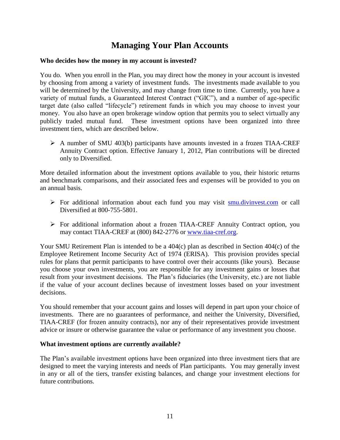## **Managing Your Plan Accounts**

#### <span id="page-13-1"></span><span id="page-13-0"></span>**Who decides how the money in my account is invested?**

You do. When you enroll in the Plan, you may direct how the money in your account is invested by choosing from among a variety of investment funds. The investments made available to you will be determined by the University, and may change from time to time. Currently, you have a variety of mutual funds, a Guaranteed Interest Contract ("GIC"), and a number of age-specific target date (also called "lifecycle") retirement funds in which you may choose to invest your money. You also have an open brokerage window option that permits you to select virtually any publicly traded mutual fund. These investment options have been organized into three investment tiers, which are described below.

 $\triangleright$  A number of SMU 403(b) participants have amounts invested in a frozen TIAA-CREF Annuity Contract option. Effective January 1, 2012, Plan contributions will be directed only to Diversified.

More detailed information about the investment options available to you, their historic returns and benchmark comparisons, and their associated fees and expenses will be provided to you on an annual basis.

- $\triangleright$  For additional information about each fund you may visit [smu.divinvest.com](http://smu.divinvest.com/) or call Diversified at 800-755-5801.
- For additional information about a frozen TIAA-CREF Annuity Contract option, you may contact TIAA-CREF at (800) 842-2776 or [www.tiaa-cref.org.](http://www.tiaa-cref.org/)

Your SMU Retirement Plan is intended to be a 404(c) plan as described in Section 404(c) of the Employee Retirement Income Security Act of 1974 (ERISA). This provision provides special rules for plans that permit participants to have control over their accounts (like yours). Because you choose your own investments, you are responsible for any investment gains or losses that result from your investment decisions. The Plan"s fiduciaries (the University, etc.) are not liable if the value of your account declines because of investment losses based on your investment decisions.

You should remember that your account gains and losses will depend in part upon your choice of investments. There are no guarantees of performance, and neither the University, Diversified, TIAA-CREF (for frozen annuity contracts), nor any of their representatives provide investment advice or insure or otherwise guarantee the value or performance of any investment you choose.

#### <span id="page-13-2"></span>**What investment options are currently available?**

The Plan"s available investment options have been organized into three investment tiers that are designed to meet the varying interests and needs of Plan participants. You may generally invest in any or all of the tiers, transfer existing balances, and change your investment elections for future contributions.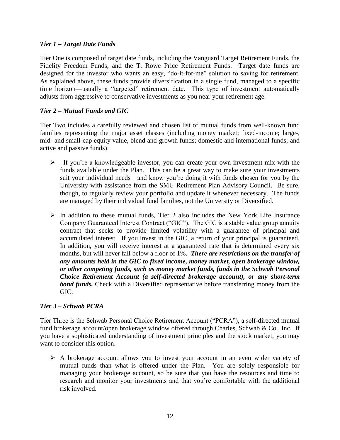#### *Tier 1 – Target Date Funds*

Tier One is composed of target date funds, including the Vanguard Target Retirement Funds, the Fidelity Freedom Funds, and the T. Rowe Price Retirement Funds. Target date funds are designed for the investor who wants an easy, "do-it-for-me" solution to saving for retirement. As explained above, these funds provide diversification in a single fund, managed to a specific time horizon—usually a "targeted" retirement date. This type of investment automatically adjusts from aggressive to conservative investments as you near your retirement age.

#### *Tier 2 – Mutual Funds and GIC*

Tier Two includes a carefully reviewed and chosen list of mutual funds from well-known fund families representing the major asset classes (including money market; fixed-income; large-, mid- and small-cap equity value, blend and growth funds; domestic and international funds; and active and passive funds).

- $\triangleright$  If you're a knowledgeable investor, you can create your own investment mix with the funds available under the Plan. This can be a great way to make sure your investments suit your individual needs—and know you"re doing it with funds chosen for you by the University with assistance from the SMU Retirement Plan Advisory Council. Be sure, though, to regularly review your portfolio and update it whenever necessary. The funds are managed by their individual fund families, not the University or Diversified.
- $\triangleright$  In addition to these mutual funds, Tier 2 also includes the New York Life Insurance Company Guaranteed Interest Contract ("GIC"). The GIC is a stable value group annuity contract that seeks to provide limited volatility with a guarantee of principal and accumulated interest. If you invest in the GIC, a return of your principal is guaranteed. In addition, you will receive interest at a guaranteed rate that is determined every six months, but will never fall below a floor of 1%. *There are restrictions on the transfer of any amounts held in the GIC to fixed income, money market, open brokerage window, or other competing funds, such as money market funds, funds in the Schwab Personal Choice Retirement Account (a self-directed brokerage account), or any short-term bond funds*. Check with a Diversified representative before transferring money from the GIC.

#### *Tier 3 – Schwab PCRA*

Tier Three is the Schwab Personal Choice Retirement Account ("PCRA"), a self-directed mutual fund brokerage account/open brokerage window offered through Charles, Schwab & Co., Inc. If you have a sophisticated understanding of investment principles and the stock market, you may want to consider this option.

 $\triangleright$  A brokerage account allows you to invest your account in an even wider variety of mutual funds than what is offered under the Plan. You are solely responsible for managing your brokerage account, so be sure that you have the resources and time to research and monitor your investments and that you"re comfortable with the additional risk involved.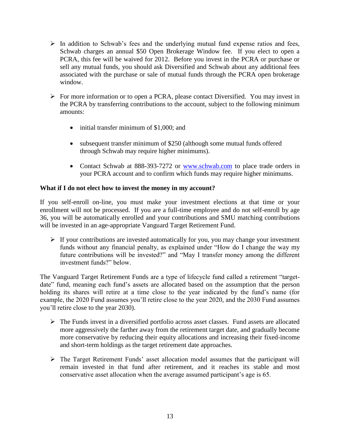- $\triangleright$  In addition to Schwab's fees and the underlying mutual fund expense ratios and fees, Schwab charges an annual \$50 Open Brokerage Window fee. If you elect to open a PCRA, this fee will be waived for 2012. Before you invest in the PCRA or purchase or sell any mutual funds, you should ask Diversified and Schwab about any additional fees associated with the purchase or sale of mutual funds through the PCRA open brokerage window.
- For more information or to open a PCRA, please contact Diversified. You may invest in the PCRA by transferring contributions to the account, subject to the following minimum amounts:
	- initial transfer minimum of \$1,000; and
	- subsequent transfer minimum of \$250 (although some mutual funds offered through Schwab may require higher minimums).
	- Contact Schwab at 888-393-7272 or [www.schwab.com](http://www.schwab.com/) to place trade orders in your PCRA account and to confirm which funds may require higher minimums.

#### <span id="page-15-0"></span>**What if I do not elect how to invest the money in my account?**

If you self-enroll on-line, you must make your investment elections at that time or your enrollment will not be processed. If you are a full-time employee and do not self-enroll by age 36, you will be automatically enrolled and your contributions and SMU matching contributions will be invested in an age-appropriate Vanguard Target Retirement Fund.

 $\triangleright$  If your contributions are invested automatically for you, you may change your investment funds without any financial penalty, as explained under "How do I change the way my future contributions will be invested?" and "May I transfer money among the different investment funds?" below.

The Vanguard Target Retirement Funds are a type of lifecycle fund called a retirement "targetdate" fund, meaning each fund's assets are allocated based on the assumption that the person holding its shares will retire at a time close to the year indicated by the fund's name (for example, the 2020 Fund assumes you"ll retire close to the year 2020, and the 2030 Fund assumes you"ll retire close to the year 2030).

- $\triangleright$  The Funds invest in a diversified portfolio across asset classes. Fund assets are allocated more aggressively the farther away from the retirement target date, and gradually become more conservative by reducing their equity allocations and increasing their fixed-income and short-term holdings as the target retirement date approaches.
- $\triangleright$  The Target Retirement Funds' asset allocation model assumes that the participant will remain invested in that fund after retirement, and it reaches its stable and most conservative asset allocation when the average assumed participant's age is 65.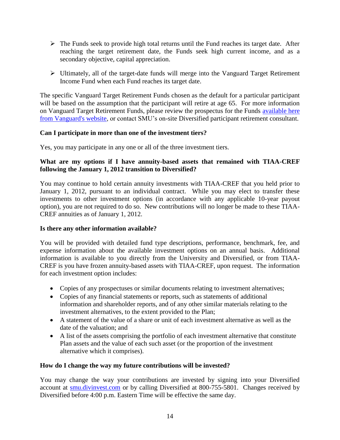- $\triangleright$  The Funds seek to provide high total returns until the Fund reaches its target date. After reaching the target retirement date, the Funds seek high current income, and as a secondary objective, capital appreciation.
- $\triangleright$  Ultimately, all of the target-date funds will merge into the Vanguard Target Retirement Income Fund when each Fund reaches its target date.

The specific Vanguard Target Retirement Funds chosen as the default for a particular participant will be based on the assumption that the participant will retire at age 65. For more information on Vanguard Target Retirement Funds, please review the prospectus for the Funds [available here](https://personal.vanguard.com/us/LiteratureRequest?FW_Activity=FindLiteratureActivity&FW_Event=category&cat_cd=PRRP&sub_cat_cd=MFPR&entryPoint=PUB&usage_cat=PRRPMFPR)  [from Vanguard's website,](https://personal.vanguard.com/us/LiteratureRequest?FW_Activity=FindLiteratureActivity&FW_Event=category&cat_cd=PRRP&sub_cat_cd=MFPR&entryPoint=PUB&usage_cat=PRRPMFPR) or contact SMU"s on-site Diversified participant retirement consultant.

#### <span id="page-16-0"></span>**Can I participate in more than one of the investment tiers?**

Yes, you may participate in any one or all of the three investment tiers.

#### <span id="page-16-1"></span>**What are my options if I have annuity-based assets that remained with TIAA-CREF following the January 1, 2012 transition to Diversified?**

You may continue to hold certain annuity investments with TIAA-CREF that you held prior to January 1, 2012, pursuant to an individual contract. While you may elect to transfer these investments to other investment options (in accordance with any applicable 10-year payout option), you are not required to do so. New contributions will no longer be made to these TIAA-CREF annuities as of January 1, 2012.

#### <span id="page-16-2"></span>**Is there any other information available?**

You will be provided with detailed fund type descriptions, performance, benchmark, fee, and expense information about the available investment options on an annual basis. Additional information is available to you directly from the University and Diversified, or from TIAA-CREF is you have frozen annuity-based assets with TIAA-CREF, upon request. The information for each investment option includes:

- Copies of any prospectuses or similar documents relating to investment alternatives;
- Copies of any financial statements or reports, such as statements of additional information and shareholder reports, and of any other similar materials relating to the investment alternatives, to the extent provided to the Plan;
- A statement of the value of a share or unit of each investment alternative as well as the date of the valuation; and
- A list of the assets comprising the portfolio of each investment alternative that constitute Plan assets and the value of each such asset (or the proportion of the investment alternative which it comprises).

#### <span id="page-16-3"></span>**How do I change the way my future contributions will be invested?**

You may change the way your contributions are invested by signing into your Diversified account at **smu.divinvest.com** or by calling Diversified at 800-755-5801. Changes received by Diversified before 4:00 p.m. Eastern Time will be effective the same day.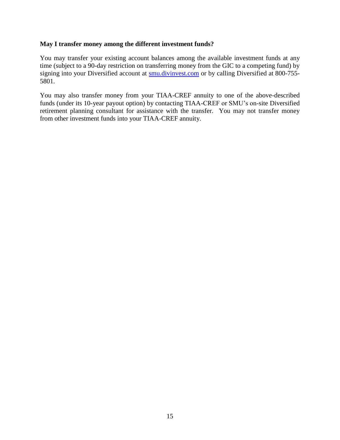#### <span id="page-17-0"></span>**May I transfer money among the different investment funds?**

You may transfer your existing account balances among the available investment funds at any time (subject to a 90-day restriction on transferring money from the GIC to a competing fund) by signing into your Diversified account at [smu.divinvest.com](http://smu.divinvest.com/) or by calling Diversified at 800-755- 5801.

You may also transfer money from your TIAA-CREF annuity to one of the above-described funds (under its 10-year payout option) by contacting TIAA-CREF or SMU"s on-site Diversified retirement planning consultant for assistance with the transfer. You may not transfer money from other investment funds into your TIAA-CREF annuity.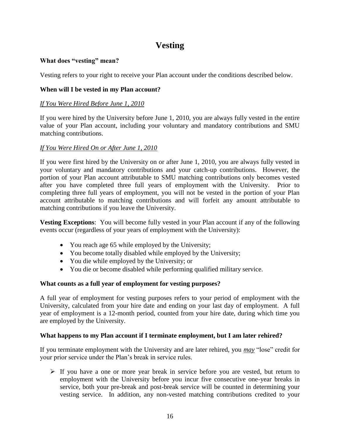## **Vesting**

#### <span id="page-18-1"></span><span id="page-18-0"></span>**What does "vesting" mean?**

Vesting refers to your right to receive your Plan account under the conditions described below.

#### <span id="page-18-2"></span>**When will I be vested in my Plan account?**

#### *If You Were Hired Before June 1, 2010*

If you were hired by the University before June 1, 2010, you are always fully vested in the entire value of your Plan account, including your voluntary and mandatory contributions and SMU matching contributions.

#### *If You Were Hired On or After June 1, 2010*

If you were first hired by the University on or after June 1, 2010, you are always fully vested in your voluntary and mandatory contributions and your catch-up contributions. However, the portion of your Plan account attributable to SMU matching contributions only becomes vested after you have completed three full years of employment with the University. Prior to completing three full years of employment, you will not be vested in the portion of your Plan account attributable to matching contributions and will forfeit any amount attributable to matching contributions if you leave the University.

**Vesting Exceptions**: You will become fully vested in your Plan account if any of the following events occur (regardless of your years of employment with the University):

- You reach age 65 while employed by the University;
- You become totally disabled while employed by the University;
- You die while employed by the University; or
- You die or become disabled while performing qualified military service.

#### <span id="page-18-3"></span>**What counts as a full year of employment for vesting purposes?**

A full year of employment for vesting purposes refers to your period of employment with the University, calculated from your hire date and ending on your last day of employment. A full year of employment is a 12-month period, counted from your hire date, during which time you are employed by the University.

#### <span id="page-18-4"></span>**What happens to my Plan account if I terminate employment, but I am later rehired?**

If you terminate employment with the University and are later rehired, you *may* "lose" credit for your prior service under the Plan"s break in service rules.

 $\triangleright$  If you have a one or more year break in service before you are vested, but return to employment with the University before you incur five consecutive one-year breaks in service, both your pre-break and post-break service will be counted in determining your vesting service. In addition, any non-vested matching contributions credited to your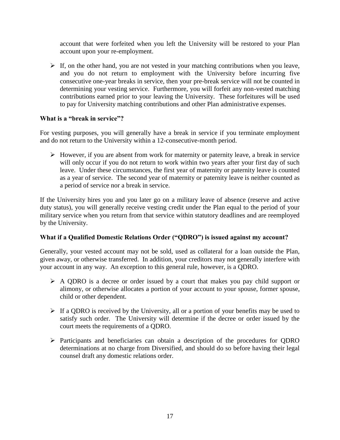account that were forfeited when you left the University will be restored to your Plan account upon your re-employment.

 $\triangleright$  If, on the other hand, you are not vested in your matching contributions when you leave, and you do not return to employment with the University before incurring five consecutive one-year breaks in service, then your pre-break service will not be counted in determining your vesting service. Furthermore, you will forfeit any non-vested matching contributions earned prior to your leaving the University. These forfeitures will be used to pay for University matching contributions and other Plan administrative expenses.

#### <span id="page-19-0"></span>**What is a "break in service"?**

For vesting purposes, you will generally have a break in service if you terminate employment and do not return to the University within a 12-consecutive-month period.

 $\triangleright$  However, if you are absent from work for maternity or paternity leave, a break in service will only occur if you do not return to work within two years after your first day of such leave. Under these circumstances, the first year of maternity or paternity leave is counted as a year of service. The second year of maternity or paternity leave is neither counted as a period of service nor a break in service.

If the University hires you and you later go on a military leave of absence (reserve and active duty status), you will generally receive vesting credit under the Plan equal to the period of your military service when you return from that service within statutory deadlines and are reemployed by the University.

#### <span id="page-19-1"></span>**What if a Qualified Domestic Relations Order ("QDRO") is issued against my account?**

Generally, your vested account may not be sold, used as collateral for a loan outside the Plan, given away, or otherwise transferred. In addition, your creditors may not generally interfere with your account in any way. An exception to this general rule, however, is a QDRO.

- $\triangleright$  A QDRO is a decree or order issued by a court that makes you pay child support or alimony, or otherwise allocates a portion of your account to your spouse, former spouse, child or other dependent.
- $\triangleright$  If a QDRO is received by the University, all or a portion of your benefits may be used to satisfy such order. The University will determine if the decree or order issued by the court meets the requirements of a QDRO.
- Participants and beneficiaries can obtain a description of the procedures for QDRO determinations at no charge from Diversified, and should do so before having their legal counsel draft any domestic relations order.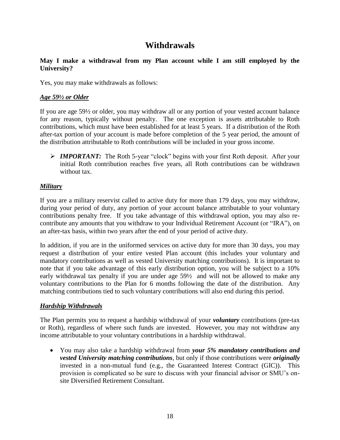## **Withdrawals**

#### <span id="page-20-1"></span><span id="page-20-0"></span>**May I make a withdrawal from my Plan account while I am still employed by the University?**

Yes, you may make withdrawals as follows:

#### *Age 59½ or Older*

If you are age 59½ or older, you may withdraw all or any portion of your vested account balance for any reason, typically without penalty. The one exception is assets attributable to Roth contributions, which must have been established for at least 5 years. If a distribution of the Roth after-tax portion of your account is made before completion of the 5 year period, the amount of the distribution attributable to Roth contributions will be included in your gross income.

**IMPORTANT:** The Roth 5-year "clock" begins with your first Roth deposit. After your initial Roth contribution reaches five years, all Roth contributions can be withdrawn without tax.

#### *Military*

If you are a military reservist called to active duty for more than 179 days, you may withdraw, during your period of duty, any portion of your account balance attributable to your voluntary contributions penalty free. If you take advantage of this withdrawal option, you may also recontribute any amounts that you withdraw to your Individual Retirement Account (or "IRA"), on an after-tax basis, within two years after the end of your period of active duty.

In addition, if you are in the uniformed services on active duty for more than 30 days, you may request a distribution of your entire vested Plan account (this includes your voluntary and mandatory contributions as well as vested University matching contributions). It is important to note that if you take advantage of this early distribution option, you will be subject to a 10% early withdrawal tax penalty if you are under age 59½ and will not be allowed to make any voluntary contributions to the Plan for 6 months following the date of the distribution. Any matching contributions tied to such voluntary contributions will also end during this period.

#### *Hardship Withdrawals*

The Plan permits you to request a hardship withdrawal of your *voluntary* contributions (pre-tax or Roth), regardless of where such funds are invested. However, you may not withdraw any income attributable to your voluntary contributions in a hardship withdrawal.

 You may also take a hardship withdrawal from *your 5% mandatory contributions and vested University matching contributions*, but only if those contributions were *originally* invested in a non-mutual fund (e.g., the Guaranteed Interest Contract (GIC)). This provision is complicated so be sure to discuss with your financial advisor or SMU"s onsite Diversified Retirement Consultant.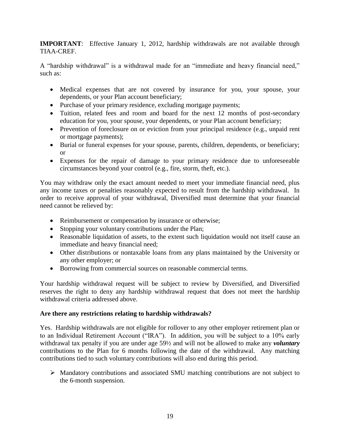**IMPORTANT**: Effective January 1, 2012, hardship withdrawals are not available through TIAA-CREF.

A "hardship withdrawal" is a withdrawal made for an "immediate and heavy financial need," such as:

- Medical expenses that are not covered by insurance for you, your spouse, your dependents, or your Plan account beneficiary;
- Purchase of your primary residence, excluding mortgage payments;
- Tuition, related fees and room and board for the next 12 months of post-secondary education for you, your spouse, your dependents, or your Plan account beneficiary;
- Prevention of foreclosure on or eviction from your principal residence (e.g., unpaid rent or mortgage payments);
- Burial or funeral expenses for your spouse, parents, children, dependents, or beneficiary; or
- Expenses for the repair of damage to your primary residence due to unforeseeable circumstances beyond your control (e.g., fire, storm, theft, etc.).

You may withdraw only the exact amount needed to meet your immediate financial need, plus any income taxes or penalties reasonably expected to result from the hardship withdrawal. In order to receive approval of your withdrawal, Diversified must determine that your financial need cannot be relieved by:

- Reimbursement or compensation by insurance or otherwise;
- Stopping your voluntary contributions under the Plan;
- Reasonable liquidation of assets, to the extent such liquidation would not itself cause an immediate and heavy financial need;
- Other distributions or nontaxable loans from any plans maintained by the University or any other employer; or
- Borrowing from commercial sources on reasonable commercial terms.

Your hardship withdrawal request will be subject to review by Diversified, and Diversified reserves the right to deny any hardship withdrawal request that does not meet the hardship withdrawal criteria addressed above.

#### <span id="page-21-0"></span>**Are there any restrictions relating to hardship withdrawals?**

Yes. Hardship withdrawals are not eligible for rollover to any other employer retirement plan or to an Individual Retirement Account ("IRA"). In addition, you will be subject to a 10% early withdrawal tax penalty if you are under age 59½ and will not be allowed to make any *voluntary* contributions to the Plan for 6 months following the date of the withdrawal. Any matching contributions tied to such voluntary contributions will also end during this period.

 Mandatory contributions and associated SMU matching contributions are not subject to the 6-month suspension.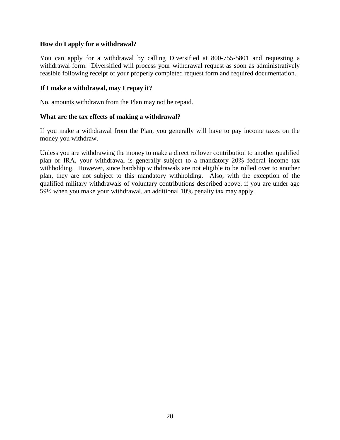#### <span id="page-22-0"></span>**How do I apply for a withdrawal?**

You can apply for a withdrawal by calling Diversified at 800-755-5801 and requesting a withdrawal form. Diversified will process your withdrawal request as soon as administratively feasible following receipt of your properly completed request form and required documentation.

#### <span id="page-22-1"></span>**If I make a withdrawal, may I repay it?**

No, amounts withdrawn from the Plan may not be repaid.

#### <span id="page-22-2"></span>**What are the tax effects of making a withdrawal?**

If you make a withdrawal from the Plan, you generally will have to pay income taxes on the money you withdraw.

Unless you are withdrawing the money to make a direct rollover contribution to another qualified plan or IRA, your withdrawal is generally subject to a mandatory 20% federal income tax withholding. However, since hardship withdrawals are not eligible to be rolled over to another plan, they are not subject to this mandatory withholding. Also, with the exception of the qualified military withdrawals of voluntary contributions described above, if you are under age 59½ when you make your withdrawal, an additional 10% penalty tax may apply.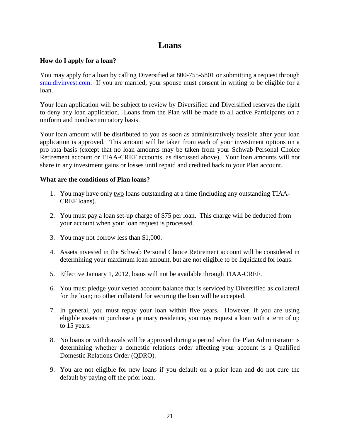## **Loans**

#### <span id="page-23-1"></span><span id="page-23-0"></span>**How do I apply for a loan?**

You may apply for a loan by calling Diversified at 800-755-5801 or submitting a request through [smu.divinvest.com.](http://smu.divinvest.com/) If you are married, your spouse must consent in writing to be eligible for a loan.

Your loan application will be subject to review by Diversified and Diversified reserves the right to deny any loan application. Loans from the Plan will be made to all active Participants on a uniform and nondiscriminatory basis.

Your loan amount will be distributed to you as soon as administratively feasible after your loan application is approved. This amount will be taken from each of your investment options on a pro rata basis (except that no loan amounts may be taken from your Schwab Personal Choice Retirement account or TIAA-CREF accounts, as discussed above). Your loan amounts will not share in any investment gains or losses until repaid and credited back to your Plan account.

#### <span id="page-23-2"></span>**What are the conditions of Plan loans?**

- 1. You may have only two loans outstanding at a time (including any outstanding TIAA-CREF loans).
- 2. You must pay a loan set-up charge of \$75 per loan. This charge will be deducted from your account when your loan request is processed.
- 3. You may not borrow less than \$1,000.
- 4. Assets invested in the Schwab Personal Choice Retirement account will be considered in determining your maximum loan amount, but are not eligible to be liquidated for loans.
- 5. Effective January 1, 2012, loans will not be available through TIAA-CREF.
- 6. You must pledge your vested account balance that is serviced by Diversified as collateral for the loan; no other collateral for securing the loan will be accepted.
- 7. In general, you must repay your loan within five years. However, if you are using eligible assets to purchase a primary residence, you may request a loan with a term of up to 15 years.
- 8. No loans or withdrawals will be approved during a period when the Plan Administrator is determining whether a domestic relations order affecting your account is a Qualified Domestic Relations Order (QDRO).
- 9. You are not eligible for new loans if you default on a prior loan and do not cure the default by paying off the prior loan.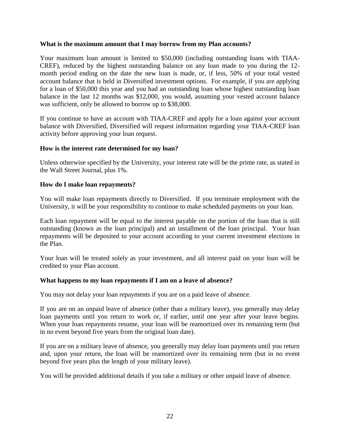#### <span id="page-24-0"></span>**What is the maximum amount that I may borrow from my Plan accounts?**

Your maximum loan amount is limited to \$50,000 (including outstanding loans with TIAA-CREF), reduced by the highest outstanding balance on any loan made to you during the 12 month period ending on the date the new loan is made, or, if less, 50% of your total vested account balance that is held in Diversified investment options. For example, if you are applying for a loan of \$50,000 this year and you had an outstanding loan whose highest outstanding loan balance in the last 12 months was \$12,000, you would, assuming your vested account balance was sufficient, only be allowed to borrow up to \$38,000.

If you continue to have an account with TIAA-CREF and apply for a loan against your account balance with Diversified, Diversified will request information regarding your TIAA-CREF loan activity before approving your loan request.

#### <span id="page-24-1"></span>**How is the interest rate determined for my loan?**

Unless otherwise specified by the University, your interest rate will be the prime rate, as stated in the Wall Street Journal, plus 1%.

#### <span id="page-24-2"></span>**How do I make loan repayments?**

You will make loan repayments directly to Diversified. If you terminate employment with the University, it will be your responsibility to continue to make scheduled payments on your loan.

Each loan repayment will be equal to the interest payable on the portion of the loan that is still outstanding (known as the loan principal) and an installment of the loan principal. Your loan repayments will be deposited to your account according to your current investment elections in the Plan.

Your loan will be treated solely as your investment, and all interest paid on your loan will be credited to your Plan account.

#### <span id="page-24-3"></span>**What happens to my loan repayments if I am on a leave of absence?**

You may not delay your loan repayments if you are on a paid leave of absence.

If you are on an unpaid leave of absence (other than a military leave), you generally may delay loan payments until you return to work or, if earlier, until one year after your leave begins. When your loan repayments resume, your loan will be reamortized over its remaining term (but in no event beyond five years from the original loan date).

If you are on a military leave of absence, you generally may delay loan payments until you return and, upon your return, the loan will be reamortized over its remaining term (but in no event beyond five years plus the length of your military leave).

You will be provided additional details if you take a military or other unpaid leave of absence.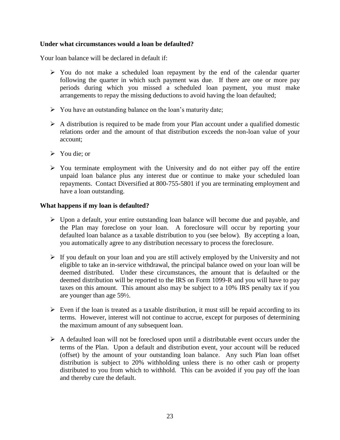#### <span id="page-25-0"></span>**Under what circumstances would a loan be defaulted?**

Your loan balance will be declared in default if:

- $\triangleright$  You do not make a scheduled loan repayment by the end of the calendar quarter following the quarter in which such payment was due. If there are one or more pay periods during which you missed a scheduled loan payment, you must make arrangements to repay the missing deductions to avoid having the loan defaulted;
- $\triangleright$  You have an outstanding balance on the loan's maturity date;
- $\triangleright$  A distribution is required to be made from your Plan account under a qualified domestic relations order and the amount of that distribution exceeds the non-loan value of your account;
- $\triangleright$  You die: or
- $\triangleright$  You terminate employment with the University and do not either pay off the entire unpaid loan balance plus any interest due or continue to make your scheduled loan repayments. Contact Diversified at 800-755-5801 if you are terminating employment and have a loan outstanding.

#### <span id="page-25-1"></span>**What happens if my loan is defaulted?**

- Upon a default, your entire outstanding loan balance will become due and payable, and the Plan may foreclose on your loan. A foreclosure will occur by reporting your defaulted loan balance as a taxable distribution to you (see below). By accepting a loan, you automatically agree to any distribution necessary to process the foreclosure.
- $\triangleright$  If you default on your loan and you are still actively employed by the University and not eligible to take an in-service withdrawal, the principal balance owed on your loan will be deemed distributed. Under these circumstances, the amount that is defaulted or the deemed distribution will be reported to the IRS on Form 1099-R and you will have to pay taxes on this amount. This amount also may be subject to a 10% IRS penalty tax if you are younger than age 59½.
- $\triangleright$  Even if the loan is treated as a taxable distribution, it must still be repaid according to its terms. However, interest will not continue to accrue, except for purposes of determining the maximum amount of any subsequent loan.
- $\triangleright$  A defaulted loan will not be foreclosed upon until a distributable event occurs under the terms of the Plan. Upon a default and distribution event, your account will be reduced (offset) by the amount of your outstanding loan balance. Any such Plan loan offset distribution is subject to 20% withholding unless there is no other cash or property distributed to you from which to withhold. This can be avoided if you pay off the loan and thereby cure the default.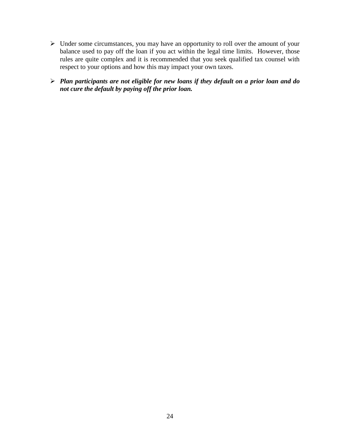- $\triangleright$  Under some circumstances, you may have an opportunity to roll over the amount of your balance used to pay off the loan if you act within the legal time limits. However, those rules are quite complex and it is recommended that you seek qualified tax counsel with respect to your options and how this may impact your own taxes.
- *Plan participants are not eligible for new loans if they default on a prior loan and do not cure the default by paying off the prior loan.*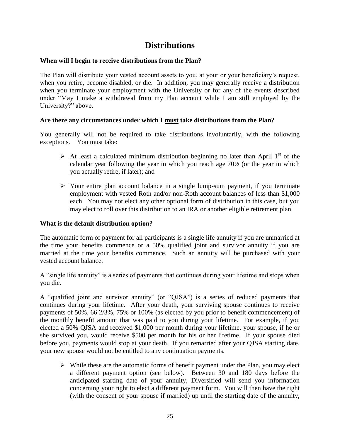## **Distributions**

#### <span id="page-27-1"></span><span id="page-27-0"></span>**When will I begin to receive distributions from the Plan?**

The Plan will distribute your vested account assets to you, at your or your beneficiary"s request, when you retire, become disabled, or die. In addition, you may generally receive a distribution when you terminate your employment with the University or for any of the events described under "May I make a withdrawal from my Plan account while I am still employed by the University?" above.

#### <span id="page-27-2"></span>**Are there any circumstances under which I must take distributions from the Plan?**

You generally will not be required to take distributions involuntarily, with the following exceptions. You must take:

- $\triangleright$  At least a calculated minimum distribution beginning no later than April 1<sup>st</sup> of the calendar year following the year in which you reach age 70½ (or the year in which you actually retire, if later); and
- $\triangleright$  Your entire plan account balance in a single lump-sum payment, if you terminate employment with vested Roth and/or non-Roth account balances of less than \$1,000 each. You may not elect any other optional form of distribution in this case, but you may elect to roll over this distribution to an IRA or another eligible retirement plan.

#### <span id="page-27-3"></span>**What is the default distribution option?**

The automatic form of payment for all participants is a single life annuity if you are unmarried at the time your benefits commence or a 50% qualified joint and survivor annuity if you are married at the time your benefits commence. Such an annuity will be purchased with your vested account balance.

A "single life annuity" is a series of payments that continues during your lifetime and stops when you die.

A "qualified joint and survivor annuity" (or "QJSA") is a series of reduced payments that continues during your lifetime. After your death, your surviving spouse continues to receive payments of 50%, 66 2/3%, 75% or 100% (as elected by you prior to benefit commencement) of the monthly benefit amount that was paid to you during your lifetime. For example, if you elected a 50% QJSA and received \$1,000 per month during your lifetime, your spouse, if he or she survived you, would receive \$500 per month for his or her lifetime. If your spouse died before you, payments would stop at your death. If you remarried after your QJSA starting date, your new spouse would not be entitled to any continuation payments.

 $\triangleright$  While these are the automatic forms of benefit payment under the Plan, you may elect a different payment option (see below). Between 30 and 180 days before the anticipated starting date of your annuity, Diversified will send you information concerning your right to elect a different payment form. You will then have the right (with the consent of your spouse if married) up until the starting date of the annuity,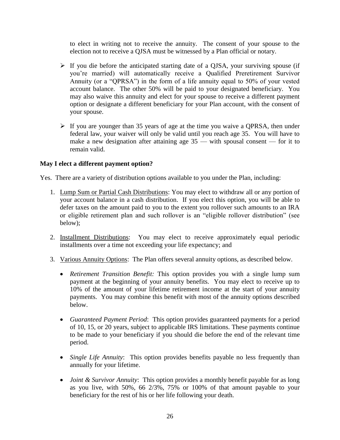to elect in writing not to receive the annuity. The consent of your spouse to the election not to receive a QJSA must be witnessed by a Plan official or notary.

- $\triangleright$  If you die before the anticipated starting date of a QJSA, your surviving spouse (if you"re married) will automatically receive a Qualified Preretirement Survivor Annuity (or a "QPRSA") in the form of a life annuity equal to 50% of your vested account balance. The other 50% will be paid to your designated beneficiary. You may also waive this annuity and elect for your spouse to receive a different payment option or designate a different beneficiary for your Plan account, with the consent of your spouse.
- $\triangleright$  If you are younger than 35 years of age at the time you waive a QPRSA, then under federal law, your waiver will only be valid until you reach age 35. You will have to make a new designation after attaining age 35 — with spousal consent — for it to remain valid.

#### <span id="page-28-0"></span>**May I elect a different payment option?**

Yes. There are a variety of distribution options available to you under the Plan, including:

- 1. Lump Sum or Partial Cash Distributions: You may elect to withdraw all or any portion of your account balance in a cash distribution. If you elect this option, you will be able to defer taxes on the amount paid to you to the extent you rollover such amounts to an IRA or eligible retirement plan and such rollover is an "eligible rollover distribution" (see below);
- 2. Installment Distributions: You may elect to receive approximately equal periodic installments over a time not exceeding your life expectancy; and
- 3. Various Annuity Options: The Plan offers several annuity options, as described below.
	- *Retirement Transition Benefit:* This option provides you with a single lump sum payment at the beginning of your annuity benefits. You may elect to receive up to 10% of the amount of your lifetime retirement income at the start of your annuity payments. You may combine this benefit with most of the annuity options described below.
	- *Guaranteed Payment Period*: This option provides guaranteed payments for a period of 10, 15, or 20 years, subject to applicable IRS limitations. These payments continue to be made to your beneficiary if you should die before the end of the relevant time period.
	- *Single Life Annuity*: This option provides benefits payable no less frequently than annually for your lifetime.
	- *Joint & Survivor Annuity*: This option provides a monthly benefit payable for as long as you live, with 50%, 66 2/3%, 75% or 100% of that amount payable to your beneficiary for the rest of his or her life following your death.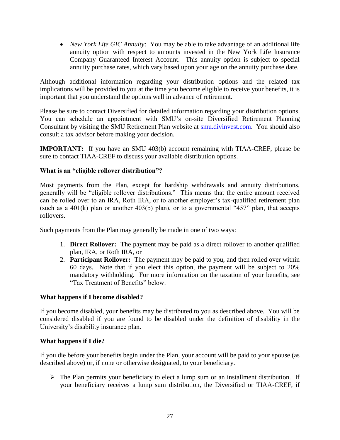*New York Life GIC Annuity*: You may be able to take advantage of an additional life annuity option with respect to amounts invested in the New York Life Insurance Company Guaranteed Interest Account. This annuity option is subject to special annuity purchase rates, which vary based upon your age on the annuity purchase date.

Although additional information regarding your distribution options and the related tax implications will be provided to you at the time you become eligible to receive your benefits, it is important that you understand the options well in advance of retirement.

Please be sure to contact Diversified for detailed information regarding your distribution options. You can schedule an appointment with SMU"s on-site Diversified Retirement Planning Consultant by visiting the SMU Retirement Plan website at [smu.divinvest.com.](http://smu.divinvest.com/) You should also consult a tax advisor before making your decision.

**IMPORTANT:** If you have an SMU 403(b) account remaining with TIAA-CREF, please be sure to contact TIAA-CREF to discuss your available distribution options.

#### <span id="page-29-0"></span>**What is an "eligible rollover distribution"?**

Most payments from the Plan, except for hardship withdrawals and annuity distributions, generally will be "eligible rollover distributions." This means that the entire amount received can be rolled over to an IRA, Roth IRA, or to another employer's tax-qualified retirement plan (such as a  $401(k)$  plan or another  $403(b)$  plan), or to a governmental " $457$ " plan, that accepts rollovers.

Such payments from the Plan may generally be made in one of two ways:

- 1. **Direct Rollover:** The payment may be paid as a direct rollover to another qualified plan, IRA, or Roth IRA, or
- 2. **Participant Rollover:** The payment may be paid to you, and then rolled over within 60 days. Note that if you elect this option, the payment will be subject to 20% mandatory withholding. For more information on the taxation of your benefits, see "Tax Treatment of Benefits" below.

#### <span id="page-29-1"></span>**What happens if I become disabled?**

If you become disabled, your benefits may be distributed to you as described above. You will be considered disabled if you are found to be disabled under the definition of disability in the University"s disability insurance plan.

#### <span id="page-29-2"></span>**What happens if I die?**

If you die before your benefits begin under the Plan, your account will be paid to your spouse (as described above) or, if none or otherwise designated, to your beneficiary.

 $\triangleright$  The Plan permits your beneficiary to elect a lump sum or an installment distribution. If your beneficiary receives a lump sum distribution, the Diversified or TIAA-CREF, if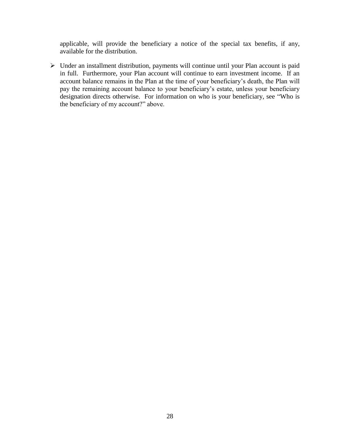applicable, will provide the beneficiary a notice of the special tax benefits, if any, available for the distribution.

 Under an installment distribution, payments will continue until your Plan account is paid in full. Furthermore, your Plan account will continue to earn investment income. If an account balance remains in the Plan at the time of your beneficiary"s death, the Plan will pay the remaining account balance to your beneficiary"s estate, unless your beneficiary designation directs otherwise. For information on who is your beneficiary, see "Who is the beneficiary of my account?" above.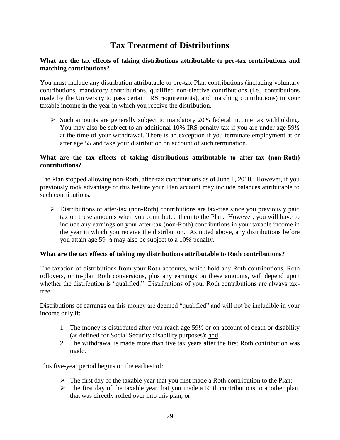## **Tax Treatment of Distributions**

#### <span id="page-31-1"></span><span id="page-31-0"></span>**What are the tax effects of taking distributions attributable to pre-tax contributions and matching contributions?**

You must include any distribution attributable to pre-tax Plan contributions (including voluntary contributions, mandatory contributions, qualified non-elective contributions (i.e., contributions made by the University to pass certain IRS requirements), and matching contributions) in your taxable income in the year in which you receive the distribution.

 $\triangleright$  Such amounts are generally subject to mandatory 20% federal income tax withholding. You may also be subject to an additional 10% IRS penalty tax if you are under age 591/2 at the time of your withdrawal. There is an exception if you terminate employment at or after age 55 and take your distribution on account of such termination.

#### <span id="page-31-2"></span>**What are the tax effects of taking distributions attributable to after-tax (non-Roth) contributions?**

The Plan stopped allowing non-Roth, after-tax contributions as of June 1, 2010. However, if you previously took advantage of this feature your Plan account may include balances attributable to such contributions.

 $\triangleright$  Distributions of after-tax (non-Roth) contributions are tax-free since you previously paid tax on these amounts when you contributed them to the Plan. However, you will have to include any earnings on your after-tax (non-Roth) contributions in your taxable income in the year in which you receive the distribution. As noted above, any distributions before you attain age 59 ½ may also be subject to a 10% penalty.

#### <span id="page-31-3"></span>**What are the tax effects of taking my distributions attributable to Roth contributions?**

The taxation of distributions from your Roth accounts, which hold any Roth contributions, Roth rollovers, or in-plan Roth conversions, plus any earnings on these amounts, will depend upon whether the distribution is "qualified." Distributions of your Roth contributions are always taxfree.

Distributions of earnings on this money are deemed "qualified" and will not be includible in your income only if:

- 1. The money is distributed after you reach age 59½ or on account of death or disability (as defined for Social Security disability purposes); and
- 2. The withdrawal is made more than five tax years after the first Roth contribution was made.

This five-year period begins on the earliest of:

- $\triangleright$  The first day of the taxable year that you first made a Roth contribution to the Plan;
- $\triangleright$  The first day of the taxable year that you made a Roth contributions to another plan, that was directly rolled over into this plan; or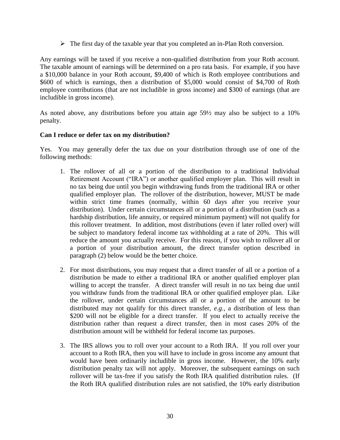$\triangleright$  The first day of the taxable year that you completed an in-Plan Roth conversion.

Any earnings will be taxed if you receive a non-qualified distribution from your Roth account. The taxable amount of earnings will be determined on a pro rata basis. For example, if you have a \$10,000 balance in your Roth account, \$9,400 of which is Roth employee contributions and \$600 of which is earnings, then a distribution of \$5,000 would consist of \$4,700 of Roth employee contributions (that are not includible in gross income) and \$300 of earnings (that are includible in gross income).

As noted above, any distributions before you attain age 59½ may also be subject to a 10% penalty.

#### <span id="page-32-0"></span>**Can I reduce or defer tax on my distribution?**

Yes. You may generally defer the tax due on your distribution through use of one of the following methods:

- 1. The rollover of all or a portion of the distribution to a traditional Individual Retirement Account ("IRA") or another qualified employer plan. This will result in no tax being due until you begin withdrawing funds from the traditional IRA or other qualified employer plan. The rollover of the distribution, however, MUST be made within strict time frames (normally, within 60 days after you receive your distribution). Under certain circumstances all or a portion of a distribution (such as a hardship distribution, life annuity, or required minimum payment) will not qualify for this rollover treatment. In addition, most distributions (even if later rolled over) will be subject to mandatory federal income tax withholding at a rate of 20%. This will reduce the amount you actually receive. For this reason, if you wish to rollover all or a portion of your distribution amount, the direct transfer option described in paragraph (2) below would be the better choice.
- 2. For most distributions, you may request that a direct transfer of all or a portion of a distribution be made to either a traditional IRA or another qualified employer plan willing to accept the transfer. A direct transfer will result in no tax being due until you withdraw funds from the traditional IRA or other qualified employer plan. Like the rollover, under certain circumstances all or a portion of the amount to be distributed may not qualify for this direct transfer, *e.g.*, a distribution of less than \$200 will not be eligible for a direct transfer. If you elect to actually receive the distribution rather than request a direct transfer, then in most cases 20% of the distribution amount will be withheld for federal income tax purposes.
- 3. The IRS allows you to roll over your account to a Roth IRA. If you roll over your account to a Roth IRA, then you will have to include in gross income any amount that would have been ordinarily includible in gross income. However, the 10% early distribution penalty tax will not apply. Moreover, the subsequent earnings on such rollover will be tax-free if you satisfy the Roth IRA qualified distribution rules. (If the Roth IRA qualified distribution rules are not satisfied, the 10% early distribution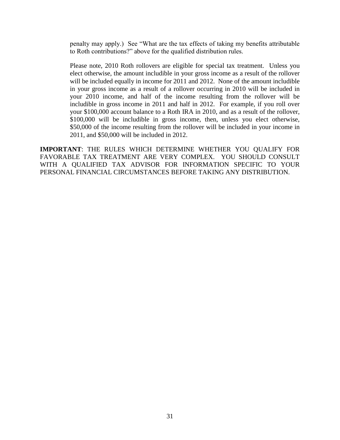penalty may apply.) See "What are the tax effects of taking my benefits attributable to Roth contributions?" above for the qualified distribution rules.

Please note, 2010 Roth rollovers are eligible for special tax treatment. Unless you elect otherwise, the amount includible in your gross income as a result of the rollover will be included equally in income for 2011 and 2012. None of the amount includible in your gross income as a result of a rollover occurring in 2010 will be included in your 2010 income, and half of the income resulting from the rollover will be includible in gross income in 2011 and half in 2012. For example, if you roll over your \$100,000 account balance to a Roth IRA in 2010, and as a result of the rollover, \$100,000 will be includible in gross income, then, unless you elect otherwise, \$50,000 of the income resulting from the rollover will be included in your income in 2011, and \$50,000 will be included in 2012.

**IMPORTANT**: THE RULES WHICH DETERMINE WHETHER YOU QUALIFY FOR FAVORABLE TAX TREATMENT ARE VERY COMPLEX. YOU SHOULD CONSULT WITH A QUALIFIED TAX ADVISOR FOR INFORMATION SPECIFIC TO YOUR PERSONAL FINANCIAL CIRCUMSTANCES BEFORE TAKING ANY DISTRIBUTION.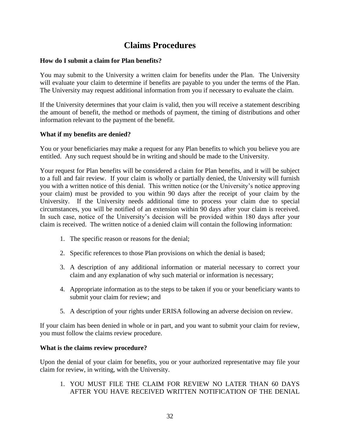## **Claims Procedures**

#### <span id="page-34-1"></span><span id="page-34-0"></span>**How do I submit a claim for Plan benefits?**

You may submit to the University a written claim for benefits under the Plan. The University will evaluate your claim to determine if benefits are payable to you under the terms of the Plan. The University may request additional information from you if necessary to evaluate the claim.

If the University determines that your claim is valid, then you will receive a statement describing the amount of benefit, the method or methods of payment, the timing of distributions and other information relevant to the payment of the benefit.

#### <span id="page-34-2"></span>**What if my benefits are denied?**

You or your beneficiaries may make a request for any Plan benefits to which you believe you are entitled. Any such request should be in writing and should be made to the University.

Your request for Plan benefits will be considered a claim for Plan benefits, and it will be subject to a full and fair review. If your claim is wholly or partially denied, the University will furnish you with a written notice of this denial. This written notice (or the University"s notice approving your claim) must be provided to you within 90 days after the receipt of your claim by the University. If the University needs additional time to process your claim due to special circumstances, you will be notified of an extension within 90 days after your claim is received. In such case, notice of the University's decision will be provided within 180 days after your claim is received. The written notice of a denied claim will contain the following information:

- 1. The specific reason or reasons for the denial;
- 2. Specific references to those Plan provisions on which the denial is based;
- 3. A description of any additional information or material necessary to correct your claim and any explanation of why such material or information is necessary;
- 4. Appropriate information as to the steps to be taken if you or your beneficiary wants to submit your claim for review; and
- 5. A description of your rights under ERISA following an adverse decision on review.

If your claim has been denied in whole or in part, and you want to submit your claim for review, you must follow the claims review procedure.

#### <span id="page-34-3"></span>**What is the claims review procedure?**

Upon the denial of your claim for benefits, you or your authorized representative may file your claim for review, in writing, with the University.

1. YOU MUST FILE THE CLAIM FOR REVIEW NO LATER THAN 60 DAYS AFTER YOU HAVE RECEIVED WRITTEN NOTIFICATION OF THE DENIAL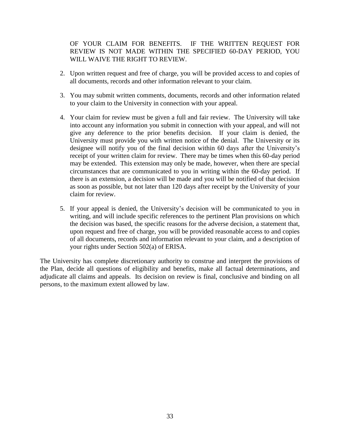OF YOUR CLAIM FOR BENEFITS. IF THE WRITTEN REQUEST FOR REVIEW IS NOT MADE WITHIN THE SPECIFIED 60-DAY PERIOD, YOU WILL WAIVE THE RIGHT TO REVIEW.

- 2. Upon written request and free of charge, you will be provided access to and copies of all documents, records and other information relevant to your claim.
- 3. You may submit written comments, documents, records and other information related to your claim to the University in connection with your appeal.
- 4. Your claim for review must be given a full and fair review. The University will take into account any information you submit in connection with your appeal, and will not give any deference to the prior benefits decision. If your claim is denied, the University must provide you with written notice of the denial. The University or its designee will notify you of the final decision within 60 days after the University"s receipt of your written claim for review. There may be times when this 60-day period may be extended. This extension may only be made, however, when there are special circumstances that are communicated to you in writing within the 60-day period. If there is an extension, a decision will be made and you will be notified of that decision as soon as possible, but not later than 120 days after receipt by the University of your claim for review.
- 5. If your appeal is denied, the University"s decision will be communicated to you in writing, and will include specific references to the pertinent Plan provisions on which the decision was based, the specific reasons for the adverse decision, a statement that, upon request and free of charge, you will be provided reasonable access to and copies of all documents, records and information relevant to your claim, and a description of your rights under Section 502(a) of ERISA.

The University has complete discretionary authority to construe and interpret the provisions of the Plan, decide all questions of eligibility and benefits, make all factual determinations, and adjudicate all claims and appeals. Its decision on review is final, conclusive and binding on all persons, to the maximum extent allowed by law.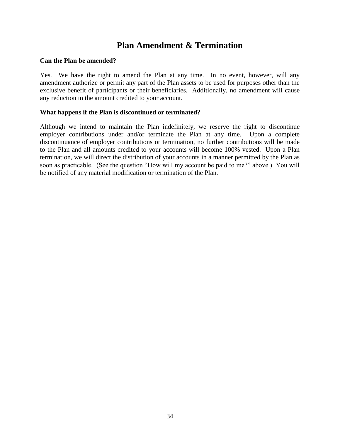## **Plan Amendment & Termination**

#### <span id="page-36-1"></span><span id="page-36-0"></span>**Can the Plan be amended?**

Yes. We have the right to amend the Plan at any time. In no event, however, will any amendment authorize or permit any part of the Plan assets to be used for purposes other than the exclusive benefit of participants or their beneficiaries. Additionally, no amendment will cause any reduction in the amount credited to your account.

#### <span id="page-36-2"></span>**What happens if the Plan is discontinued or terminated?**

Although we intend to maintain the Plan indefinitely, we reserve the right to discontinue employer contributions under and/or terminate the Plan at any time. Upon a complete discontinuance of employer contributions or termination, no further contributions will be made to the Plan and all amounts credited to your accounts will become 100% vested. Upon a Plan termination, we will direct the distribution of your accounts in a manner permitted by the Plan as soon as practicable. (See the question "How will my account be paid to me?" above.) You will be notified of any material modification or termination of the Plan.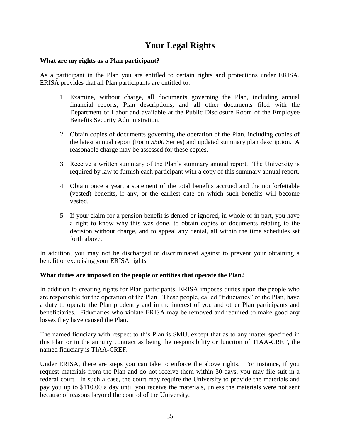## **Your Legal Rights**

#### <span id="page-37-1"></span><span id="page-37-0"></span>**What are my rights as a Plan participant?**

As a participant in the Plan you are entitled to certain rights and protections under ERISA. ERISA provides that all Plan participants are entitled to:

- 1. Examine, without charge, all documents governing the Plan, including annual financial reports, Plan descriptions, and all other documents filed with the Department of Labor and available at the Public Disclosure Room of the Employee Benefits Security Administration.
- 2. Obtain copies of documents governing the operation of the Plan, including copies of the latest annual report (Form *5500* Series) and updated summary plan description. A reasonable charge may be assessed for these copies.
- 3. Receive a written summary of the Plan"s summary annual report. The University is required by law to furnish each participant with a copy of this summary annual report.
- 4. Obtain once a year, a statement of the total benefits accrued and the nonforfeitable (vested) benefits, if any, or the earliest date on which such benefits will become vested.
- 5. If your claim for a pension benefit is denied or ignored, in whole or in part, you have a right to know why this was done, to obtain copies of documents relating to the decision without charge, and to appeal any denial, all within the time schedules set forth above.

In addition, you may not be discharged or discriminated against to prevent your obtaining a benefit or exercising your ERISA rights.

#### <span id="page-37-2"></span>**What duties are imposed on the people or entities that operate the Plan?**

In addition to creating rights for Plan participants, ERISA imposes duties upon the people who are responsible for the operation of the Plan. These people, called "fiduciaries" of the Plan, have a duty to operate the Plan prudently and in the interest of you and other Plan participants and beneficiaries. Fiduciaries who violate ERISA may be removed and required to make good any losses they have caused the Plan.

The named fiduciary with respect to this Plan is SMU, except that as to any matter specified in this Plan or in the annuity contract as being the responsibility or function of TIAA-CREF, the named fiduciary is TIAA-CREF.

Under ERISA, there are steps you can take to enforce the above rights. For instance, if you request materials from the Plan and do not receive them within 30 days, you may file suit in a federal court. In such a case, the court may require the University to provide the materials and pay you up to \$110.00 a day until you receive the materials, unless the materials were not sent because of reasons beyond the control of the University.